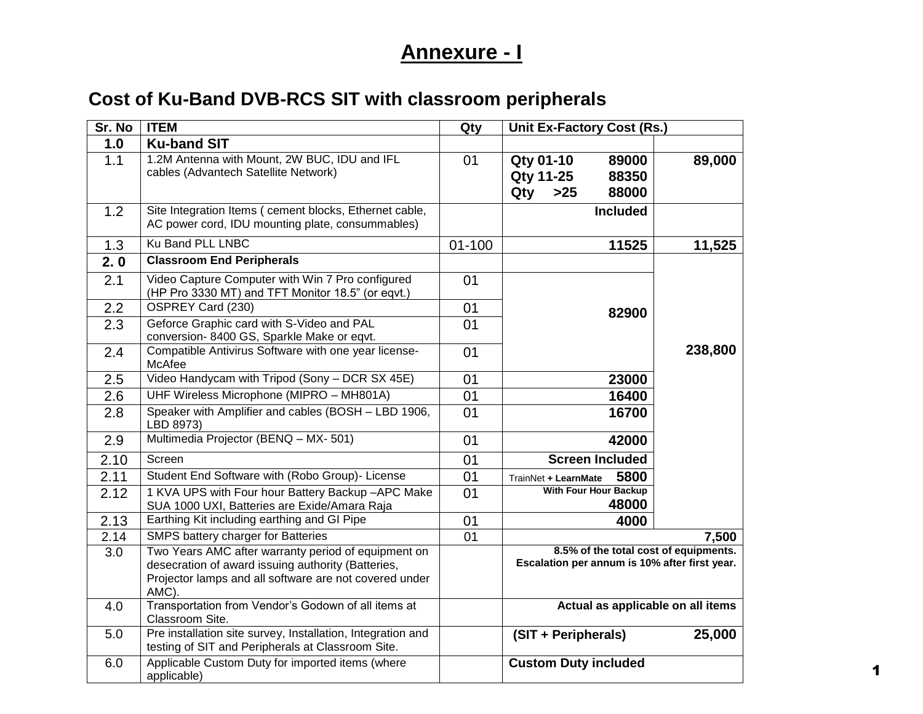# **Annexure - I**

# **Cost of Ku-Band DVB-RCS SIT with classroom peripherals**

| Sr. No | <b>ITEM</b>                                                                                                                                                                  | Qty        | <b>Unit Ex-Factory Cost (Rs.)</b>                                                      |         |
|--------|------------------------------------------------------------------------------------------------------------------------------------------------------------------------------|------------|----------------------------------------------------------------------------------------|---------|
| 1.0    | <b>Ku-band SIT</b>                                                                                                                                                           |            |                                                                                        |         |
| 1.1    | 1.2M Antenna with Mount, 2W BUC, IDU and IFL                                                                                                                                 | 01         | Qty 01-10<br>89000                                                                     | 89,000  |
|        | cables (Advantech Satellite Network)                                                                                                                                         |            | <b>Qty 11-25</b><br>88350                                                              |         |
|        |                                                                                                                                                                              |            | $>25$<br>Qty<br>88000                                                                  |         |
| 1.2    | Site Integration Items ( cement blocks, Ethernet cable,<br>AC power cord, IDU mounting plate, consummables)                                                                  |            | <b>Included</b>                                                                        |         |
| 1.3    | Ku Band PLL LNBC                                                                                                                                                             | $01 - 100$ | 11525                                                                                  | 11,525  |
| 2.0    | <b>Classroom End Peripherals</b>                                                                                                                                             |            |                                                                                        |         |
| 2.1    | Video Capture Computer with Win 7 Pro configured<br>(HP Pro 3330 MT) and TFT Monitor 18.5" (or eqvt.)                                                                        | 01         |                                                                                        |         |
| 2.2    | OSPREY Card (230)                                                                                                                                                            | 01         | 82900                                                                                  |         |
| 2.3    | Geforce Graphic card with S-Video and PAL<br>conversion- 8400 GS, Sparkle Make or eqvt.                                                                                      | 01         |                                                                                        |         |
| 2.4    | Compatible Antivirus Software with one year license-<br>McAfee                                                                                                               | 01         |                                                                                        | 238,800 |
| 2.5    | Video Handycam with Tripod (Sony - DCR SX 45E)                                                                                                                               | 01         | 23000                                                                                  |         |
| 2.6    | UHF Wireless Microphone (MIPRO - MH801A)                                                                                                                                     | 01         | 16400                                                                                  |         |
| 2.8    | Speaker with Amplifier and cables (BOSH - LBD 1906,<br>LBD 8973)                                                                                                             | 01         | 16700                                                                                  |         |
| 2.9    | Multimedia Projector (BENQ - MX- 501)                                                                                                                                        | 01         | 42000                                                                                  |         |
| 2.10   | Screen                                                                                                                                                                       | 01         | <b>Screen Included</b>                                                                 |         |
| 2.11   | Student End Software with (Robo Group)- License                                                                                                                              | 01         | 5800<br>TrainNet + LearnMate                                                           |         |
| 2.12   | 1 KVA UPS with Four hour Battery Backup -APC Make<br>SUA 1000 UXI, Batteries are Exide/Amara Raja                                                                            | 01         | <b>With Four Hour Backup</b><br>48000                                                  |         |
| 2.13   | Earthing Kit including earthing and GI Pipe                                                                                                                                  | 01         | 4000                                                                                   |         |
| 2.14   | SMPS battery charger for Batteries                                                                                                                                           | 01         |                                                                                        | 7,500   |
| 3.0    | Two Years AMC after warranty period of equipment on<br>desecration of award issuing authority (Batteries,<br>Projector lamps and all software are not covered under<br>AMC). |            | 8.5% of the total cost of equipments.<br>Escalation per annum is 10% after first year. |         |
| 4.0    | Transportation from Vendor's Godown of all items at<br>Classroom Site.                                                                                                       |            | Actual as applicable on all items                                                      |         |
| 5.0    | Pre installation site survey, Installation, Integration and<br>testing of SIT and Peripherals at Classroom Site.                                                             |            | (SIT + Peripherals)                                                                    | 25,000  |
| 6.0    | Applicable Custom Duty for imported items (where<br>applicable)                                                                                                              |            | <b>Custom Duty included</b>                                                            |         |